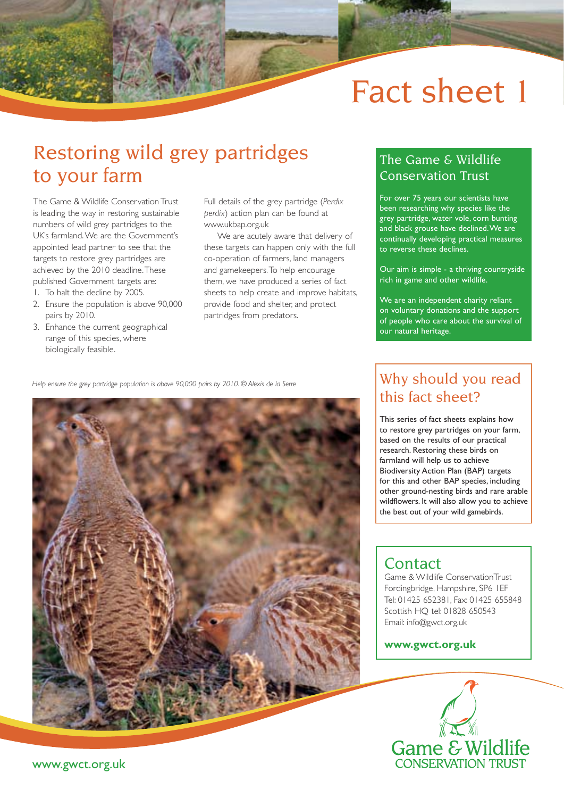# Fact sheet 1

## Restoring wild grey partridges to your farm

The Game & Wildlife Conservation Trust is leading the way in restoring sustainable numbers of wild grey partridges to the UK's farmland. We are the Government's appointed lead partner to see that the targets to restore grey partridges are achieved by the 2010 deadline. These published Government targets are:

- 1. To halt the decline by 2005.
- 2. Ensure the population is above 90,000 pairs by 2010.
- 3. Enhance the current geographical range of this species, where biologically feasible.

Full details of the grey partridge (*Perdix perdix*) action plan can be found at www.ukbap.org.uk

We are acutely aware that delivery of these targets can happen only with the full co-operation of farmers, land managers and gamekeepers. To help encourage them, we have produced a series of fact sheets to help create and improve habitats, provide food and shelter, and protect partridges from predators.

### The Game & Wildlife Conservation Trust

For over 75 years our scientists have been researching why species like the grey partridge, water vole, corn bunting and black grouse have declined. We are continually developing practical measures to reverse these declines.

Our aim is simple - a thriving countryside rich in game and other wildlife.

We are an independent charity reliant on voluntary donations and the support of people who care about the survival of our natural heritage.

*Help ensure the grey partridge population is above 90,000 pairs by 2010. © Alexis de la Serre*



### Why should you read this fact sheet?

This series of fact sheets explains how to restore grey partridges on your farm, based on the results of our practical research. Restoring these birds on farmland will help us to achieve Biodiversity Action Plan (BAP) targets for this and other BAP species, including other ground-nesting birds and rare arable wildflowers. It will also allow you to achieve the best out of your wild gamebirds.

### **Contact**

Game & Wildlife ConservationTrust Fordingbridge, Hampshire, SP6 1EF Tel: 01425 652381, Fax: 01425 655848 Scottish HQ tel: 01828 650543 Email: info@gwct.org.uk

#### **www.gwct.org.uk**